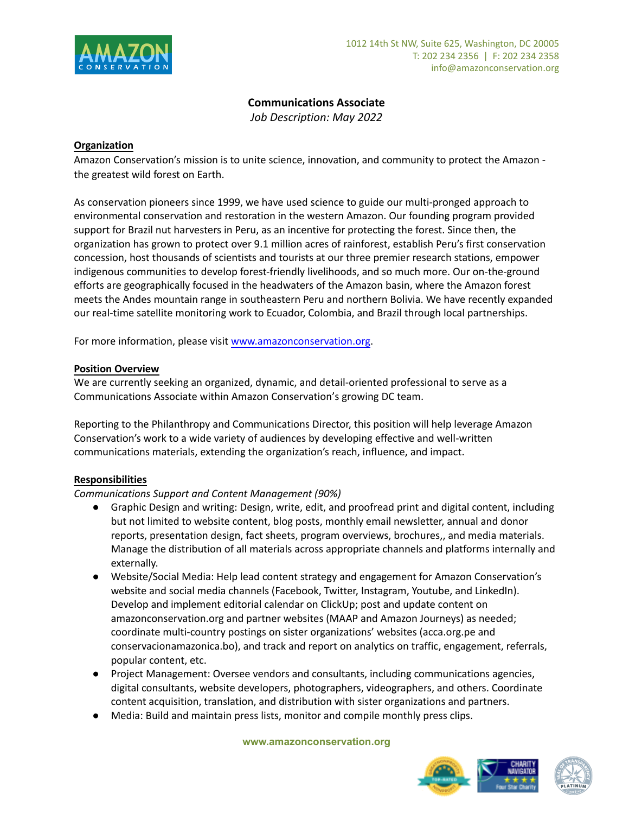

## **Communications Associate**

*Job Description: May 2022*

## **Organization**

Amazon Conservation's mission is to unite science, innovation, and community to protect the Amazon the greatest wild forest on Earth.

As conservation pioneers since 1999, we have used science to guide our multi-pronged approach to environmental conservation and restoration in the western Amazon. Our founding program provided support for Brazil nut harvesters in Peru, as an incentive for protecting the forest. Since then, the organization has grown to protect over 9.1 million acres of rainforest, establish Peru's first conservation concession, host thousands of scientists and tourists at our three premier research stations, empower indigenous communities to develop forest-friendly livelihoods, and so much more. Our on-the-ground efforts are geographically focused in the headwaters of the Amazon basin, where the Amazon forest meets the Andes mountain range in southeastern Peru and northern Bolivia. We have recently expanded our real-time satellite monitoring work to Ecuador, Colombia, and Brazil through local partnerships.

For more information, please visit [www.amazonconservation.org.](http://www.amazonconservation.org)

## **Position Overview**

We are currently seeking an organized, dynamic, and detail-oriented professional to serve as a Communications Associate within Amazon Conservation's growing DC team.

Reporting to the Philanthropy and Communications Director, this position will help leverage Amazon Conservation's work to a wide variety of audiences by developing effective and well-written communications materials, extending the organization's reach, influence, and impact.

## **Responsibilities**

## *Communications Support and Content Management (90%)*

- Graphic Design and writing: Design, write, edit, and proofread print and digital content, including but not limited to website content, blog posts, monthly email newsletter, annual and donor reports, presentation design, fact sheets, program overviews, brochures,, and media materials. Manage the distribution of all materials across appropriate channels and platforms internally and externally.
- Website/Social Media: Help lead content strategy and engagement for Amazon Conservation's website and social media channels (Facebook, Twitter, Instagram, Youtube, and LinkedIn). Develop and implement editorial calendar on ClickUp; post and update content on amazonconservation.org and partner websites (MAAP and Amazon Journeys) as needed; coordinate multi-country postings on sister organizations' websites (acca.org.pe and conservacionamazonica.bo), and track and report on analytics on traffic, engagement, referrals, popular content, etc.
- Project Management: Oversee vendors and consultants, including communications agencies, digital consultants, website developers, photographers, videographers, and others. Coordinate content acquisition, translation, and distribution with sister organizations and partners.
- Media: Build and maintain press lists, monitor and compile monthly press clips.

#### **www.amazonconservation.org**



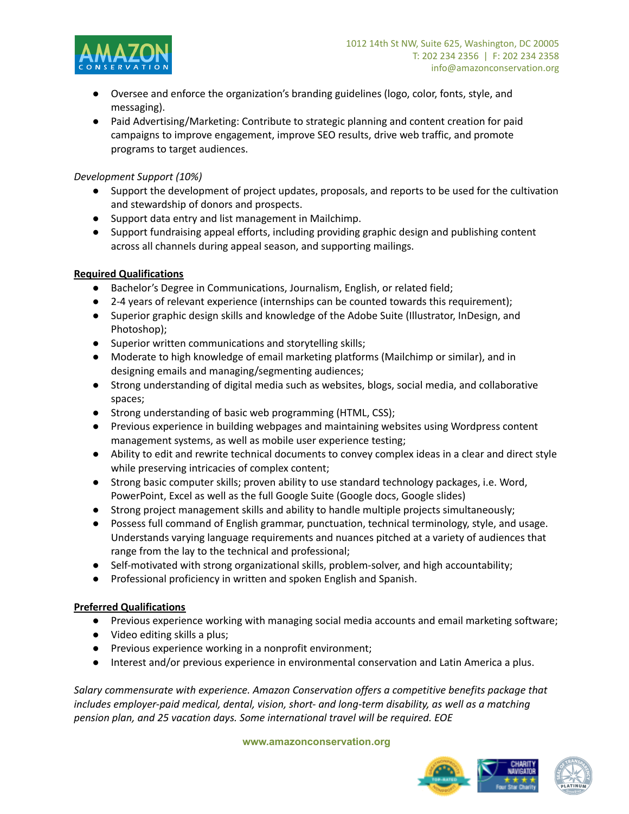

- Oversee and enforce the organization's branding guidelines (logo, color, fonts, style, and messaging).
- Paid Advertising/Marketing: Contribute to strategic planning and content creation for paid campaigns to improve engagement, improve SEO results, drive web traffic, and promote programs to target audiences.

## *Development Support (10%)*

- Support the development of project updates, proposals, and reports to be used for the cultivation and stewardship of donors and prospects.
- Support data entry and list management in Mailchimp.
- Support fundraising appeal efforts, including providing graphic design and publishing content across all channels during appeal season, and supporting mailings.

# **Required Qualifications**

- Bachelor's Degree in Communications, Journalism, English, or related field;
- 2-4 years of relevant experience (internships can be counted towards this requirement);
- Superior graphic design skills and knowledge of the Adobe Suite (Illustrator, InDesign, and Photoshop);
- Superior written communications and storytelling skills;
- Moderate to high knowledge of email marketing platforms (Mailchimp or similar), and in designing emails and managing/segmenting audiences;
- Strong understanding of digital media such as websites, blogs, social media, and collaborative spaces;
- Strong understanding of basic web programming (HTML, CSS);
- Previous experience in building webpages and maintaining websites using Wordpress content management systems, as well as mobile user experience testing;
- Ability to edit and rewrite technical documents to convey complex ideas in a clear and direct style while preserving intricacies of complex content;
- Strong basic computer skills; proven ability to use standard technology packages, i.e. Word, PowerPoint, Excel as well as the full Google Suite (Google docs, Google slides)
- Strong project management skills and ability to handle multiple projects simultaneously;
- Possess full command of English grammar, punctuation, technical terminology, style, and usage. Understands varying language requirements and nuances pitched at a variety of audiences that range from the lay to the technical and professional;
- Self-motivated with strong organizational skills, problem-solver, and high accountability;
- Professional proficiency in written and spoken English and Spanish.

# **Preferred Qualifications**

- Previous experience working with managing social media accounts and email marketing software;
- Video editing skills a plus;
- Previous experience working in a nonprofit environment;
- Interest and/or previous experience in environmental conservation and Latin America a plus.

*Salary commensurate with experience. Amazon Conservation offers a competitive benefits package that includes employer-paid medical, dental, vision, short- and long-term disability, as well as a matching pension plan, and 25 vacation days. Some international travel will be required. EOE*

## **www.amazonconservation.org**